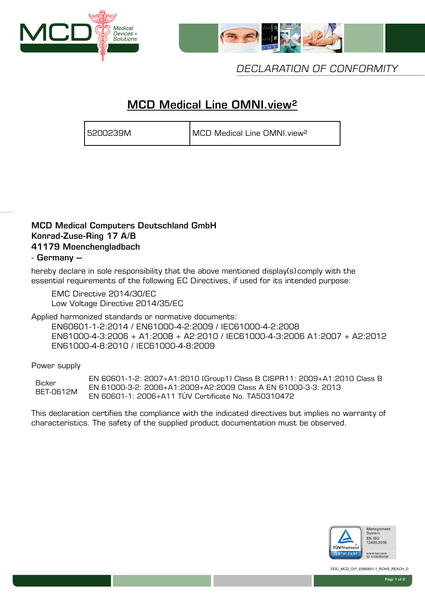



DECLARATION OF CONFORMITY

# MCD Medical Line OMNI.view²

5200239M MCD Medical Line OMNI.view²

### MCD Medical Computers Deutschland GmbH Konrad-Zuse-Ring 17 A/B 41179 Moenchengladbach

### - Germany –

hereby declare in sole responsibility that the above mentioned display(s) comply with the essential requirements of the following EC Directives, if used for its intended purpose:

EMC Directive 2014/30/EC Low Voltage Directive 2014/35/EC

Applied harmonized standards or normative documents:

 EN60601-1-2:2014 / EN61000-4-2:2009 / IEC61000-4-2:2008 EN61000-4-3:2006 + A1:2008 + A2:2010 / IEC61000-4-3:2006 A1:2007 + A2:2012 EN61000-4-8:2010 / IEC61000-4-8:2009

Power supply

**Bicker** BET-0612M EN 60601-1-2: 2007+A1:2010 (Group1) Class B CISPR11: 2009+A1:2010 Class B EN 61000-3-2: 2006+A1:2009+A2:2009 Class A EN 61000-3-3: 2013 EN 60601-1: 2006+A11 TÜV Certificate No. TA50310472

This declaration certifies the compliance with the indicated directives but implies no warranty of characteristics. The safety of the supplied product documentation must be observed.



DOC\_MCD\_OV<sup>2</sup>\_EN60601-1\_ROHS\_REACH\_D